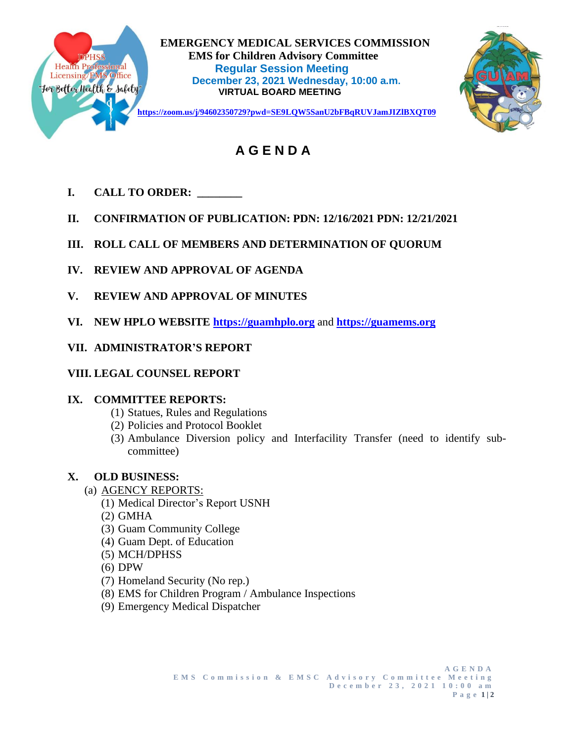

 **EMERGENCY MEDICAL SERVICES COMMISSION EMS for Children Advisory Committee<br>
Health Professional Regular Session Meeting<br>
Licensing/EMS Office Regular Session Meeting<br>
Regenter 23, 2021 Mednesday, 10:00 Regular Session Meeting December 23, 2021 Wednesday, 10:00 a.m.**<br> **PERITE 23, 2021 Wednesday, 10:00 a.m.**<br>
VIPTUAL BOARD MEETING **VIRTUAL BOARD MEETING**



 **A G E N D A**

- **I. CALL TO ORDER: \_\_\_\_\_\_\_\_**
- **II. CONFIRMATION OF PUBLICATION: PDN: 12/16/2021 PDN: 12/21/2021**
- **III. ROLL CALL OF MEMBERS AND DETERMINATION OF QUORUM**
- **IV. REVIEW AND APPROVAL OF AGENDA**
- **V. REVIEW AND APPROVAL OF MINUTES**
- **VI. NEW HPLO WEBSITE [https://guamhplo.org](https://guamhplo.org/)** and **[https://guamems.org](https://guamems.org/)**
- **VII. ADMINISTRATOR'S REPORT**
- **VIII. LEGAL COUNSEL REPORT**

# **IX. COMMITTEE REPORTS:**

- (1) Statues, Rules and Regulations
- (2) Policies and Protocol Booklet
- (3) Ambulance Diversion policy and Interfacility Transfer (need to identify subcommittee)

# **X. OLD BUSINESS:**

- (a) AGENCY REPORTS:
	- (1) Medical Director's Report USNH
	- (2) GMHA
	- (3) Guam Community College
	- (4) Guam Dept. of Education
	- (5) MCH/DPHSS
	- (6) DPW
	- (7) Homeland Security (No rep.)
	- (8) EMS for Children Program / Ambulance Inspections
	- (9) Emergency Medical Dispatcher